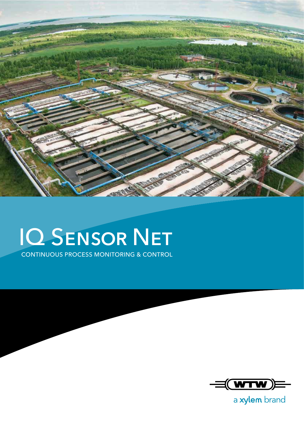

## IQ Sensor Net

CONTINUOUS PROCESS MONITORING & CONTROL



a xylem brand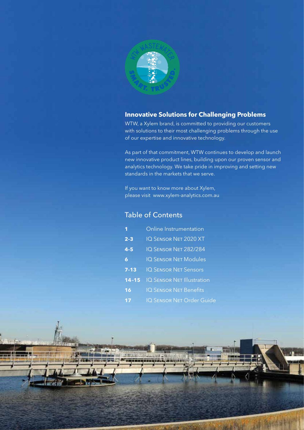

#### **Innovative Solutions for Challenging Problems**

WTW, a Xylem brand, is committed to providing our customers with solutions to their most challenging problems through the use of our expertise and innovative technology.

As part of that commitment, WTW continues to develop and launch new innovative product lines, building upon our proven sensor and analytics technology. We take pride in improving and setting new standards in the markets that we serve.

If you want to know more about Xylem, please visit www.xylem-analytics.com.au

### Table of Contents

|           | Online Instrumentation            |
|-----------|-----------------------------------|
| $2 - 3$   | <b>IQ SENSOR NET 2020 XT</b>      |
| $4 - 5$   | IQ SENSOR NET 282/284             |
| 6         | <b>IQ SENSOR NET Modules</b>      |
| $7 - 13$  | <b>IQ SENSOR NET Sensors</b>      |
| $14 - 15$ | <b>IQ SENSOR NET Illustration</b> |
| 16        | <b>IQ SENSOR NET Benefits</b>     |

**17** IQ SENSOR NET Order Guide

抑重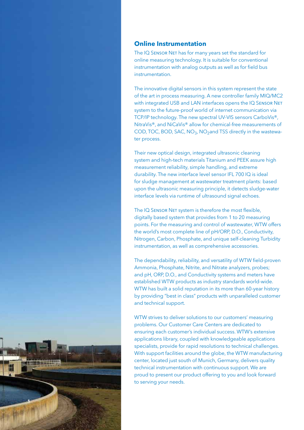#### **Online Instrumentation**

The IQ SENSOR NET has for many years set the standard for online measuring technology. It is suitable for conventional instrumentation with analog outputs as well as for field bus instrumentation.

The innovative digital sensors in this system represent the state of the art in process measuring. A new controller family MIQ/MC2 with integrated USB and LAN interfaces opens the IQ SENSOR NET system to the future-proof world of internet communication via TCP/IP technology. The new spectral UV-VIS sensors CarboVis®, NitraVis®, and NiCaVis® allow for chemical-free measurements of COD, TOC, BOD, SAC,  $NO<sub>3</sub>$ , NO<sub>2</sub>and TSS directly in the wastewater process.

Their new optical design, integrated ultrasonic cleaning system and high-tech materials Titanium and PEEK assure high measurement reliability, simple handling, and extreme durability. The new interface level sensor IFL 700 IQ is ideal for sludge management at wastewater treatment plants: based upon the ultrasonic measuring principle, it detects sludge-water interface levels via runtime of ultrasound signal echoes.

The IQ SENSOR NET system is therefore the most flexible, digitally based system that provides from 1 to 20 measuring points. For the measuring and control of wastewater, WTW offers the world's most complete line of pH/ORP, D.O., Conductivity, Nitrogen, Carbon, Phosphate, and unique self-cleaning Turbidity instrumentation, as well as comprehensive accessories.

The dependability, reliability, and versatility of WTW field-proven Ammonia, Phosphate, Nitrite, and Nitrate analyzers, probes; and pH, ORP, D.O., and Conductivity systems and meters have established WTW products as industry standards world-wide. WTW has built a solid reputation in its more than 60-year history by providing "best in class" products with unparalleled customer and technical support.

WTW strives to deliver solutions to our customers' measuring problems. Our Customer Care Centers are dedicated to ensuring each customer's individual success. WTW's extensive applications library, coupled with knowledgeable applications specialists, provide for rapid resolutions to technical challenges. With support facilities around the globe, the WTW manufacturing center, located just south of Munich, Germany, delivers quality technical instrumentation with continuous support. We are proud to present our product offering to you and look forward to serving your needs.

**1**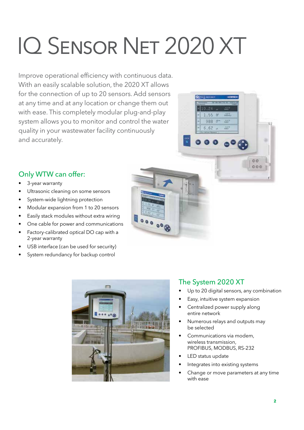# IQ Sensor Net 2020 XT

Improve operational efficiency with continuous data. With an easily scalable solution, the 2020 XT allows for the connection of up to 20 sensors. Add sensors at any time and at any location or change them out with ease. This completely modular plug-and-play system allows you to monitor and control the water quality in your wastewater facility continuously and accurately.

### Only WTW can offer:

- 3-year warranty
- Ultrasonic cleaning on some sensors
- System-wide lightning protection
- Modular expansion from 1 to 20 sensors
- Easily stack modules without extra wiring
- One cable for power and communications
- Factory-calibrated optical DO cap with a 2-year warranty
- USB interface (can be used for security)
- System redundancy for backup control





 $1.55$ 988 81

 $6.62 -$ 

ALC:

 $19.87$ 

 $000$ 

- Up to 20 digital sensors, any combination
- Easy, intuitive system expansion
- Centralized power supply along entire network
- Numerous relays and outputs may be selected
- Communications via modem, wireless transmission, PROFIBUS, MODBUS, RS-232
- LED status update
- Integrates into existing systems
- Change or move parameters at any time with ease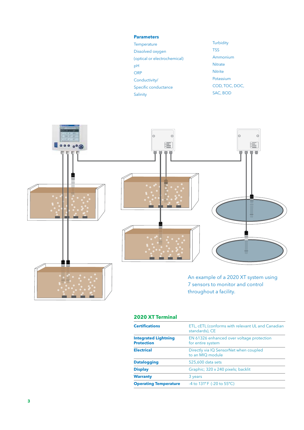#### **Parameters**

| Temperature                  | Turbidity      |
|------------------------------|----------------|
| Dissolved oxygen             | <b>TSS</b>     |
| (optical or electrochemical) | Ammonium       |
| рH                           | <b>Nitrate</b> |
| <b>ORP</b>                   | <b>Nitrite</b> |
| Conductivity/                | Potassium      |
| Specific conductance         | COD, TOC, DOC, |
| Salinity                     | SAC. BOD       |
|                              |                |



An example of a 2020 XT system using 7 sensors to monitor and control throughout a facility.

| <b>2020 XT Terminal</b>                          |                                                                     |
|--------------------------------------------------|---------------------------------------------------------------------|
| <b>Certifications</b>                            | ETL, cETL (conforms with relevant UL and Canadian<br>standards), CE |
| <b>Integrated Lightning</b><br><b>Protection</b> | EN 61326 enhanced over voltage protection<br>for entire system      |
| <b>Electrical</b>                                | Directly via IQ SensorNet when coupled<br>to an MIO module          |
| <b>Datalogging</b>                               | 525,600 data sets                                                   |
| <b>Display</b>                                   | Graphic; 320 x 240 pixels; backlit                                  |
| <b>Warranty</b>                                  | 3 years                                                             |
| <b>Operating Temperature</b>                     | -4 to $131^{\circ}$ F (-20 to $55^{\circ}$ C)                       |
|                                                  |                                                                     |

in de ling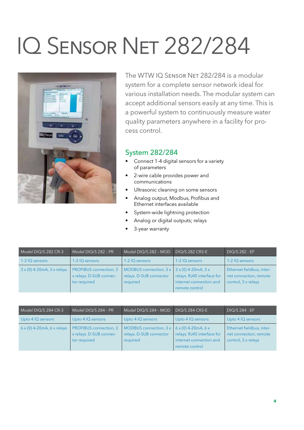## IQ Sensor Net 282/284



The WTW IQ SENSOR NET 282/284 is a modular system for a complete sensor network ideal for various installation needs. The modular system can accept additional sensors easily at any time. This is a powerful system to continuously measure water quality parameters anywhere in a facility for process control.

#### System 282/284

- Connect 1-4 digital sensors for a variety of parameters
- 2-wire cable provides power and communications
- Ultrasonic cleaning on some sensors
- Analog output, Modbus, Profibus and Ethernet interfaces available
- System-wide lightning protection
- Analog or digital outputs; relays
- 3-year warranty

| Model DIQ/S 282 CR-3                     | Model DIQ/S 282 - PR                                                     | Model DIQ/S 282 - MOD                                           | <b>DIO/S 282 CR3-E</b>                                                                          | <b>DIQ/S 282 - EF</b>                                                      |
|------------------------------------------|--------------------------------------------------------------------------|-----------------------------------------------------------------|-------------------------------------------------------------------------------------------------|----------------------------------------------------------------------------|
| 1-2 IQ sensors                           | 1-2 IQ sensors                                                           | 1-2 IQ sensors                                                  | 1-2 IQ sensors                                                                                  | 1-2 IQ sensors                                                             |
| $3 \times (0)$ 4-20mA, $3 \times$ relays | <b>PROFIBUS</b> connection, 3<br>x relays. D-SUB connec-<br>tor required | MODBUS connection, 3 x  <br>relays. D-SUB connector<br>required | $3x(0)$ 4-20mA, $3x$<br>relays. RJ45 interface for<br>internet connection and<br>remote control | Ethernet fieldbus, inter-<br>net connection, remote<br>control, 3 x relays |

| Model DIQ/S 284 CR-3              | Model DIQ/S 284 - PR                                                     | Model DIQ/S 284 - MOD                                                                         | $\overline{D}$ DIO/S 284 CR3-E                                          | <b>DIQ/S 284 - EF</b>                                                      |
|-----------------------------------|--------------------------------------------------------------------------|-----------------------------------------------------------------------------------------------|-------------------------------------------------------------------------|----------------------------------------------------------------------------|
| Upto 4 IQ sensors                 | Upto 4 IQ sensors                                                        | Upto 4 IQ sensors                                                                             | Upto 4 IQ sensors                                                       | Upto 4 IQ sensors                                                          |
| $6 \times (0)$ 4-20mA, 6 x relays | <b>PROFIBUS</b> connection, 3<br>x relays. D-SUB connec-<br>tor required | MODBUS connection, $3 \times 6 \times (0)$ 4-20mA, 6 x<br>relays. D-SUB connector<br>required | relays. RJ45 interface for<br>internet connection and<br>remote control | Ethernet fieldbus, inter-<br>net connection, remote<br>control, 3 x relays |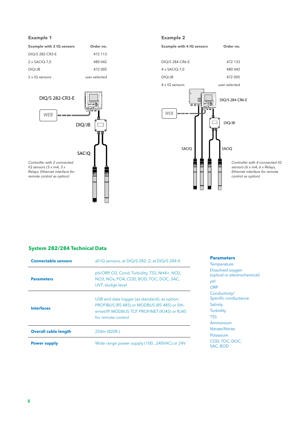#### **Example 1 Example 2**

| <b>Example with 2 IQ sensors</b> | Order no.     |
|----------------------------------|---------------|
| DIO/S 282-CR3-E                  | 472 113       |
| 2 x SACIQ-7.0                    | 480 042       |
| DIO/JB                           | 472 005       |
| 2 x IQ sensors                   | user selected |







Controller with 4 connected IQ sensors (6 x mA, 6 x Relays, Ethernet interface for remote control as option)

#### **System 282/284 Technical Data**

| <b>Connectable sensors</b>  | all IQ sensors, at DIQ/S 282: 2, at DIQ/S 284:4                                                                                                                      |
|-----------------------------|----------------------------------------------------------------------------------------------------------------------------------------------------------------------|
| <b>Parameters</b>           | ph/ORP, O2, Cond, Turbidity, TSS, NH4+, NO2,<br>NO3, NOx, PO4, COD, BOD, TOC, DOC, SAC,<br>UVT, sludge level                                                         |
| <b>Interfaces</b>           | USB and data logger (as standard); as option:<br>PROFIBUS (RS 485) or MODBUS (RS 485) or Eth-<br>ernet/IP, MODBUS TCP, PROFINET (RJ45) or RJ45<br>for remote control |
| <b>Overall cable length</b> | 250m (820ft.)                                                                                                                                                        |
| <b>Power supply</b>         | Wide range power supply (100240VAC) or 24V                                                                                                                           |

#### **Parameters**

**Temperature** Dissolved oxygen (optical or electrochemical) pH **ORP** Conductivity/ Specific conductance Salinity **Turbidity** TSS Ammonium Nitrate/Nitrite Potassium COD, TOC, DOC, SAC, BOD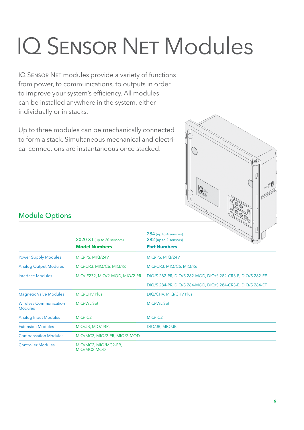# IQ Sensor Net Modules

IQ SENSOR NET modules provide a variety of functions from power, to communications, to outputs in order to improve your system's efficiency. All modules can be installed anywhere in the system, either individually or in stacks.

Up to three modules can be mechanically connected to form a stack. Simultaneous mechanical and electrical connections are instantaneous once stacked.



### Module Options

|                                                 | $2020$ XT (up to 20 sensors)        | Б<br>284 (up to 4 sensors)<br>282 (up to 2 sensors)         |
|-------------------------------------------------|-------------------------------------|-------------------------------------------------------------|
|                                                 | <b>Model Numbers</b>                | <b>Part Numbers</b>                                         |
| <b>Power Supply Modules</b>                     | MIQ/PS, MIQ/24V                     | MIQ/PS, MIQ/24V                                             |
| <b>Analog Output Modules</b>                    | MIQ/CR3, MIQ/C6, MIQ/R6             | MIQ/CR3, MIQ/C6, MIQ/R6                                     |
| Interface Modules                               | MIQ/IF232, MIQ/2-MOD, MIQ/2-PR      | DIQ/S 282-PR, DIQ/S 282-MOD, DIQ/S 282-CR3-E, DIQ/S 282-EF, |
|                                                 |                                     | DIQ/S 284-PR, DIQ/S 284-MOD, DIQ/S 284-CR3-E, DIQ/S 284-EF  |
| <b>Magnetic Valve Modules</b>                   | MIQ/CHV Plus                        | DIQ/CHV, MIQ/CHV Plus                                       |
| <b>Wireless Communication</b><br><b>Modules</b> | MIQ/WL Set                          | MIQ/WL Set                                                  |
| <b>Analog Input Modules</b>                     | MIQ/IC2                             | MIQ/IC2                                                     |
| <b>Extension Modules</b>                        | MIQ/JB, MIQ/JBR,                    | DIQ/JB, MIQ/JB                                              |
| <b>Compensation Modules</b>                     | MIQ/MC2, MIQ/2-PR, MIQ/2-MOD        |                                                             |
| <b>Controller Modules</b>                       | MIQ/MC2, MIQ/MC2-PR,<br>MIQ/MC2-MOD |                                                             |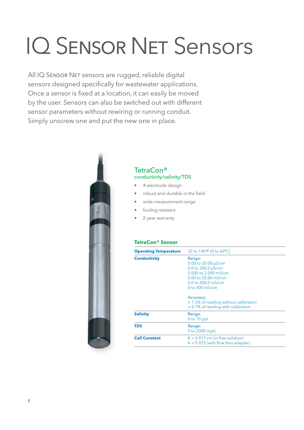# IQ Sensor Net Sensors

All IQ SENSOR NET sensors are rugged, reliable digital sensors designed specifically for wastewater applications. Once a sensor is fixed at a location, it can easily be moved by the user. Sensors can also be switched out with different sensor parameters without rewiring or running conduit. Simply unscrew one and put the new one in place.



#### TetraCon® conductivity/salinity/TDS

- 4-electrode design
- robust and durable in the field
- wide measurement range
- fouling resistant
- 2-year warranty

#### **TetraCon® Sensor**

| <b>Operating Temperature</b> | 32 to 140°F (0 to 60°C)                                                                                                                                                                                           |  |
|------------------------------|-------------------------------------------------------------------------------------------------------------------------------------------------------------------------------------------------------------------|--|
| <b>Conductivity</b>          | Range:<br>$0.00$ to 20.00 $\mu$ S/cm<br>0.0 to 200.0 µS/cm<br>0.000 to 2.000 mS/cm<br>0.00 to 20.00 mS/cm<br>$0.0$ to $200.0$ mS/cm<br>0 to $500$ mS/cm<br>Accuracy:<br>$\pm$ 1.5% of reading without calibration |  |
| <b>Salinity</b>              | $\pm$ 0.7% of reading with calibration<br>Range:<br>$0$ to $70$ ppt                                                                                                                                               |  |
| <b>TDS</b>                   | Range:<br>0 to 2000 mg/L                                                                                                                                                                                          |  |
| <b>Cell Constant</b>         | $K = 0.917$ cm (in free solution)<br>$K = 0.933$ (with flow thru adapter)                                                                                                                                         |  |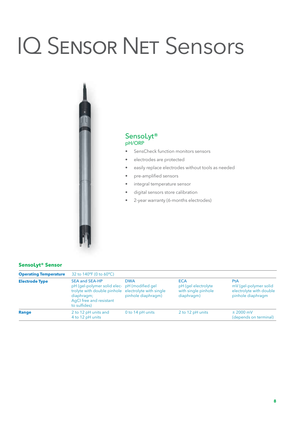# **IQ SENSOR NET Sensors**



#### SensoLyt® pH/ORP

- SensCheck function monitors sensors
- electrodes are protected
- easily replace electrodes without tools as needed
- pre-amplified sensors
- integral temperature sensor
- digital sensors store calibration
- 2-year warranty (6-months electrodes)

#### **SensoLyt® Sensor**

| <b>Operating Temperature</b> | 32 to $140^{\circ}$ F (0 to 60 $^{\circ}$ C)                                                                                                                                          |                                  |                                                                        |                                                                              |
|------------------------------|---------------------------------------------------------------------------------------------------------------------------------------------------------------------------------------|----------------------------------|------------------------------------------------------------------------|------------------------------------------------------------------------------|
| <b>Electrode Type</b>        | <b>SEA and SEA-HP</b><br>pH (gel-polymer solid elec-pH (modified gel)<br>trolyte with double pinhole electrolyte with single<br>diaphragm;<br>AqCI free and resistant<br>to sulfides) | <b>DWA</b><br>pinhole diaphragm) | <b>ECA</b><br>pH (gel electrolyte<br>with single pinhole<br>diaphragm) | PtA<br>mV (gel-polymer solid<br>electrolyte with double<br>pinhole diaphragm |
| Range                        | 2 to 12 pH units and<br>4 to 12 pH units                                                                                                                                              | 0 to 14 pH units                 | 2 to 12 pH units                                                       | $±$ 2000 mV<br>(depends on terminal)                                         |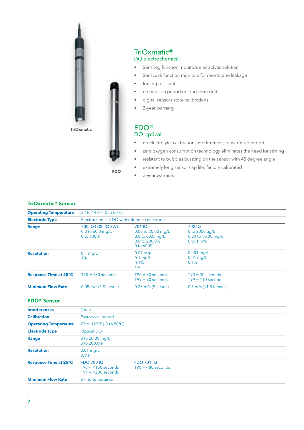

#### TriOxmatic® DO electrochemical

- SensReg function monitors electrolytic solution
- SensLeak function monitors for membrane leakage
- fouling resistant
- no break-in period or long-term drift
- digital sensors store calibrations
- 2-year warranty

#### FDO® DO optical

- no electrolyte, calibration, interferences, or warm-up period
- zero oxygen consumption technology eliminates the need for stirring
- resistant to bubbles bursting on the sensor with 45 degree angle
- extremely long sensor cap life; factory calibrated

• 2-year warranty

**FDO**

#### **TriOxmatic® Sensor**

| <b>Operating Temperature</b>          | 32 to 140°F (0 to 60°C)                               |                                                                                |                                                                   |  |
|---------------------------------------|-------------------------------------------------------|--------------------------------------------------------------------------------|-------------------------------------------------------------------|--|
| <b>Electrode Type</b><br><b>Range</b> | Electrochemical DO with reference electrode           |                                                                                |                                                                   |  |
|                                       | 700 IQ (700 IQ SW)<br>$0.0$ to 60.0 mg/L<br>0 to 600% | 701 IQ<br>0.00 to 20.00 mg/L<br>0.0 to 60.0 mg/L<br>0.0 to 200.0%<br>0 to 600% | 70210<br>0 to $2000 \mu q/L$<br>0.00 to 10.00 mg/L<br>0 to $110%$ |  |
| <b>Resolution</b>                     | $0.1$ mg/L<br>1%                                      | $0.01$ mg/L<br>$0.1$ mg/L<br>0.1%<br>$1\%$                                     | $0.001$ mg/L<br>$0.01$ mg/L<br>0.1%                               |  |
| <b>Response Time at 25°C</b>          | $T90 = 180$ seconds                                   | $T90 = 30$ seconds<br>$T99 = 90$ seconds                                       | $T90 = 30$ seconds<br>$T99 = 110$ seconds                         |  |
| <b>Minimum Flow Rate</b>              | $0.05$ m/s $(1.9$ in/sec)                             | $0.23$ m/s (9 in/sec)                                                          | $0.3$ m/s (11.8 in/sec)                                           |  |

#### **FDO® Sensor**

| <b>Interferences</b>         | <b>None</b>                                                    |                                          |
|------------------------------|----------------------------------------------------------------|------------------------------------------|
| <b>Calibration</b>           | Factory calibrated                                             |                                          |
| <b>Operating Temperature</b> | 23 to 122°F (-5 to 50°C)                                       |                                          |
| <b>Electrode Type</b>        | Optical DO                                                     |                                          |
| Range                        | 0 to 20.00 mg/L<br>0 to 200.0%                                 |                                          |
| <b>Resolution</b>            | $0.01$ mg/L<br>0.1%                                            |                                          |
| <b>Response Time at 25°C</b> | <b>FDO 70010</b><br>$T90 = 150$ seconds<br>$T99 = 200$ seconds | <b>FDO 701 IQ</b><br>$T90 = 680$ seconds |
| <b>Minimum Flow Rate</b>     | 0 - none required                                              |                                          |
|                              |                                                                |                                          |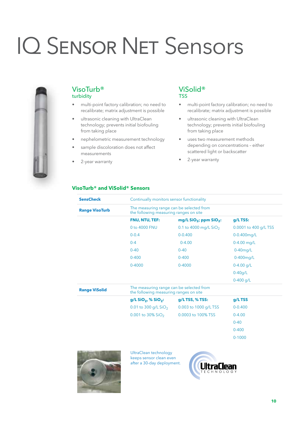## IQ Sensor Net Sensors



#### VisoTurb® turbidity

- multi-point factory calibration; no need to recalibrate; matrix adjustment is possible
- ultrasonic cleaning with UltraClean technology; prevents initial biofouling from taking place
- nephelometric measurement technology
- sample discoloration does not affect measurements
- 2-year warranty

#### ViSolid® TSS

- multi-point factory calibration; no need to recalibrate; matrix adjustment is possible
- ultrasonic cleaning with UltraClean technology; prevents initial biofouling from taking place
- uses two measurement methods depending on concentrations – either scattered light or backscatter
- 2-year warranty

#### **VisoTurb® and ViSolid® Sensors**

| <b>SensCheck</b>      | Continually monitors sensor functionality                                          |                            |                       |  |  |  |  |  |
|-----------------------|------------------------------------------------------------------------------------|----------------------------|-----------------------|--|--|--|--|--|
| <b>Range VisoTurb</b> | The measuring range can be selected from<br>the following measuring ranges on site |                            |                       |  |  |  |  |  |
|                       | FNU, NTU, TEF:                                                                     | mg/L $SiO2$ ; ppm $SiO2$ : | $g/L$ TSS:            |  |  |  |  |  |
|                       | 0 to 4000 FNU                                                                      | 0.1 to 4000 mg/L $SiO2$    | 0.0001 to 400 g/L TSS |  |  |  |  |  |
|                       | $0 - 0.4$                                                                          | $0 - 0.400$                | 0-0.400mg/L           |  |  |  |  |  |
|                       | $0 - 4$                                                                            | $0 - 4.00$                 | $0-4.00$ mg/L         |  |  |  |  |  |
|                       | $0 - 40$                                                                           | $0 - 40$                   | $0-40$ mg/L           |  |  |  |  |  |
|                       | $0 - 400$                                                                          | $0 - 400$                  | 0-400mg/L             |  |  |  |  |  |
|                       | $0 - 4000$                                                                         | $0 - 4000$                 | $0-4.00$ g/L          |  |  |  |  |  |
|                       |                                                                                    |                            | $0-40q/L$             |  |  |  |  |  |
|                       |                                                                                    |                            | $0-400$ g/L           |  |  |  |  |  |
| <b>Range ViSolid</b>  | The measuring range can be selected from<br>the following measuring ranges on site |                            |                       |  |  |  |  |  |
|                       | $g/L$ SiO <sub>2</sub> , % SiO <sub>2</sub> :                                      | $g/L$ TSS, % TSS:          | g/LTSS                |  |  |  |  |  |
|                       | 0.01 to 300 g/L $SiO2$                                                             | 0.003 to 1000 g/L TSS      | $0 - 0.400$           |  |  |  |  |  |
|                       | 0.001 to 30% $SiO2$                                                                | 0.0003 to 100% TSS         | $0 - 4.00$            |  |  |  |  |  |
|                       |                                                                                    |                            | $0 - 40$              |  |  |  |  |  |
|                       |                                                                                    |                            | $0 - 400$             |  |  |  |  |  |
|                       |                                                                                    |                            | $0 - 1000$            |  |  |  |  |  |



UltraClean technology keeps sensor clean even after a 30-day deployment.

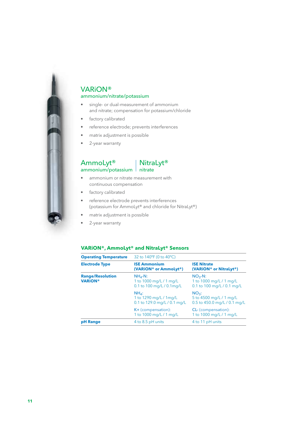

#### VARiON®

#### ammonium/nitrate/potassium

- single- or dual-measurement of ammonium and nitrate; compensation for potassium/chloride
- factory calibrated
- reference electrode; prevents interferences
- matrix adjustment is possible
- 2-year warranty

#### AmmoLyt<sup>®</sup> | NitraLyt<sup>®</sup>  $ammonium/potassium$  nitrate



- ammonium or nitrate measurement with continuous compensation
- factory calibrated
- reference electrode prevents interferences (potassium for AmmoLyt® and chloride for NitraLyt®)
- matrix adjustment is possible
- 2-year warranty

#### **VARiON®, AmmoLyt® and NitraLyt® Sensors**

| <b>Operating Temperature</b>              | 32 to 140°F (0 to 40°C)                                                             |                                                                                                                    |  |  |  |  |  |  |
|-------------------------------------------|-------------------------------------------------------------------------------------|--------------------------------------------------------------------------------------------------------------------|--|--|--|--|--|--|
| <b>Electrode Type</b>                     | <b>ISE Ammonium</b><br>(VARION® or AmmoLyt®)                                        | <b>ISE Nitrate</b><br>(VARION® or NitraLyt®)<br>$NO3-N$ :<br>1 to 1000 mg/L / 1 mg/L<br>0.1 to 100 mg/L / 0.1 mg/L |  |  |  |  |  |  |
| <b>Range/Resolution</b><br><b>VARION®</b> | $NH4-N$ :<br>1 to 1000 mg/L / 1 mg/L<br>0.1 to $100 \text{ mg/L} / 0.1 \text{mg/L}$ |                                                                                                                    |  |  |  |  |  |  |
|                                           | $NHA$ :<br>1 to $1290 \,\mathrm{mg/L}$ / 1 mg/L<br>0.1 to 129.0 mg/L / 0.1 mg/L     | $NO3$ :<br>5 to 4500 mg/L / 1 mg/L<br>0.5 to 450.0 mg/L / 0.1 mg/L                                                 |  |  |  |  |  |  |
|                                           | K+ (compensation):<br>1 to 1000 mg/L / 1 mg/L                                       | <b>CL-</b> (compensation):<br>1 to 1000 mg/L / 1 mg/L                                                              |  |  |  |  |  |  |
| <b>pH</b> Range                           | 4 to 8.5 pH units                                                                   | 4 to 11 pH units                                                                                                   |  |  |  |  |  |  |
|                                           |                                                                                     |                                                                                                                    |  |  |  |  |  |  |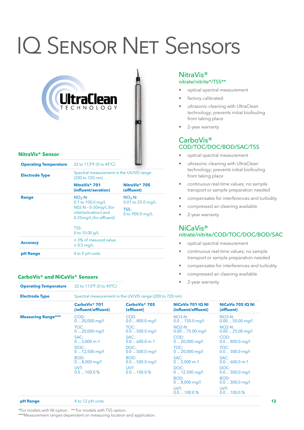## IQ Sensor Net Sensors

| WitraClean<br>NitraVis® Sensor |                                                                           |                                         |  |  |  |  |  |
|--------------------------------|---------------------------------------------------------------------------|-----------------------------------------|--|--|--|--|--|
| <b>Operating Temperature</b>   | 32 to 113°F (0 to 45°C)                                                   |                                         |  |  |  |  |  |
| <b>Electrode Type</b>          | Spectral measurement in the UV/VIS range<br>(200 to 720 nm)               |                                         |  |  |  |  |  |
|                                | NitraVis <sup>®</sup> 701<br>(influent/aeration)                          | NitraVis <sup>®</sup> 705<br>(effluent) |  |  |  |  |  |
| Range                          | $NO3 - N$ :<br>0.1 to 100.0 mg/L                                          | $NO3-N$ :<br>0.01 to 25.0 mg/L          |  |  |  |  |  |
|                                | N02-N - 0-30mg/L (for<br>inlet/activation) and<br>0-25mg/L (for effluent) | TSS:<br>0 to 900.0 mg/L                 |  |  |  |  |  |
|                                | TSS:<br>0 to 10.00 g/L                                                    |                                         |  |  |  |  |  |
| <b>Accuracy</b>                | ± 3% of mesured value<br>$\pm$ 0.5 mg/L                                   |                                         |  |  |  |  |  |
| pH Range                       | 4 to 9 pH units                                                           |                                         |  |  |  |  |  |

#### **CarboVis® and NiCaVis® Sensors**

**Operating Temperature** 32 to 113°F (0 to 45°C)

#### NitraVis® nitrate/nitrite\*/TSS\*\*

- optical spectral measurement
- factory calibrated
- ultrasonic cleaning with UltraClean technology; prevents initial biofouling from taking place
- 2-year warranty

#### CarboVis® COD/TOC/DOC/BOD/SAC/TSS

- optical spectral measurement
- ultrasonic cleaning with UltraClean technology; prevents initial biofouling from taking place
- continuous real-time values; no sample transport or sample preparation needed
- compensates for interferences and turbidity
- compressed air cleaning available
- 2-year warranty

#### NiCaVis® nitrate/nitrite/COD/TOC/DOC/BOD/SAC

- optical spectral measurement
- continuous real-time values; no sample transport or sample preparation needed
- compensates for interferences and turbidity
- compressed air cleaning available
- 2-year warranty

| <b>Electrode Type</b>                                                                                                                                                                                                 | Spectral measurement in the UV/VIS range (200 to 720 nm) |                                         |                                                 |                                 |  |  |  |  |
|-----------------------------------------------------------------------------------------------------------------------------------------------------------------------------------------------------------------------|----------------------------------------------------------|-----------------------------------------|-------------------------------------------------|---------------------------------|--|--|--|--|
| CarboVis <sup>®</sup> 701<br><b>Measuring Range***</b><br>COD:<br>$020,000$ mg/l<br>TOC:<br>$020,000$ mg/l<br>SAC:<br>$05,000$ m-1<br>DOC:<br>$012,500$ mg/l<br>BOD:<br>$08,000 \,\mathrm{mg/l}$<br>UVT:<br>0.0100.0% | (influent/effluent)                                      | CarboVis <sup>®</sup> 705<br>(effluent) | <b>NiCaVis 701 IQ NI</b><br>(influent/effluent) | NiCaVis 705 IQ Ni<br>(effluent) |  |  |  |  |
|                                                                                                                                                                                                                       |                                                          | COD:<br>$0.0800.0$ mg/l                 | $NO3-N:$<br>$0.0$ 150.0 mg/l                    | $NO3-N:$<br>$0.0050.00$ mg/l    |  |  |  |  |
|                                                                                                                                                                                                                       |                                                          | TOC:<br>$0.0500.0$ mg/l                 | $NO2-N:$<br>$0.0075.00$ mg/l                    | $NO2-N:$<br>$0.0025.00$ mg/l    |  |  |  |  |
|                                                                                                                                                                                                                       |                                                          | SAC:<br>$0.0600.0$ m-1                  | COD:<br>$020,000$ mg/l                          | COD:<br>$0.0800.0$ mg/          |  |  |  |  |
|                                                                                                                                                                                                                       |                                                          | DOC:<br>$0.0500.0$ mg/l                 | TOC:<br>$020,000$ mg/l                          | TOC:<br>$0.0500.0$ mg/l         |  |  |  |  |
|                                                                                                                                                                                                                       |                                                          | BOD:<br>$0.0500.0$ mg/l                 | SAC:<br>$05,000$ m-1                            | SAC:<br>$0.0600.0$ m-1          |  |  |  |  |
|                                                                                                                                                                                                                       |                                                          | UVT:<br>0.0100.0%                       | DOC:<br>$012,500$ mg/l                          | DOC:<br>$0.0500.0$ mg/          |  |  |  |  |
|                                                                                                                                                                                                                       |                                                          |                                         | BOD:<br>$08,000 \,\mathrm{mq/l}$                | BOD:<br>$0.0500.0$ mg/l         |  |  |  |  |
|                                                                                                                                                                                                                       |                                                          |                                         | UVT:<br>0.0100.0%                               | UVT:<br>0.0100.0%               |  |  |  |  |

**pH Range** 4 to 12 pH units **12** 

\*For models with NI option. \*\* For models with TSS option.

\*\*\*Measurement ranges dependent on measuring location and application.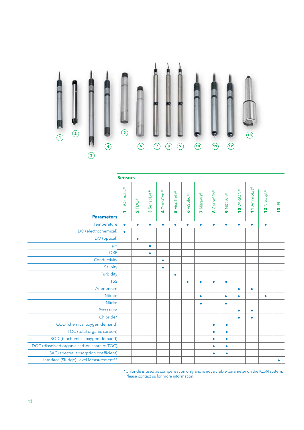

|                                             | <b>Sensors</b>   |                      |                                       |                              |                         |                   |             |                       |                   |                                   |                                                        |                                         |               |
|---------------------------------------------|------------------|----------------------|---------------------------------------|------------------------------|-------------------------|-------------------|-------------|-----------------------|-------------------|-----------------------------------|--------------------------------------------------------|-----------------------------------------|---------------|
|                                             | TriOxmatic®<br>÷ | FDO®<br>$\mathbf{N}$ | SensoLyt <sup>®</sup><br>$\mathbf{c}$ | <b>TetraCon®</b><br><b>e</b> | 5 VisoTurb <sup>®</sup> | <b>O</b> ViSolid® | 7 NitraVis® | CarboVis®<br>$\infty$ | <b>9 NiCaVis®</b> | <b>OVARION®</b><br>$\blacksquare$ | AmmoLyt®<br>$\overline{\phantom{a}}$<br>$\blacksquare$ | 2 NitraLyt®<br>$\overline{\phantom{0}}$ | <b>13 IFL</b> |
| <b>Parameters</b>                           |                  |                      |                                       |                              |                         |                   |             |                       |                   |                                   |                                                        |                                         |               |
| Temperature                                 | $\bullet$        | $\bullet$            | $\bullet$                             | $\bullet$                    | $\bullet$               | $\bullet$         | $\bullet$   | $\bullet$             | $\bullet$         | $\bullet$                         | $\bullet$                                              | $\bullet$                               |               |
| DO (electrochemical)                        | $\bullet$        |                      |                                       |                              |                         |                   |             |                       |                   |                                   |                                                        |                                         |               |
| DO (optical)                                |                  | $\bullet$            |                                       |                              |                         |                   |             |                       |                   |                                   |                                                        |                                         |               |
| pH                                          |                  |                      | $\bullet$                             |                              |                         |                   |             |                       |                   |                                   |                                                        |                                         |               |
| <b>ORP</b>                                  |                  |                      | $\bullet$                             |                              |                         |                   |             |                       |                   |                                   |                                                        |                                         |               |
| Conductivity                                |                  |                      |                                       | ۰                            |                         |                   |             |                       |                   |                                   |                                                        |                                         |               |
| Salinity                                    |                  |                      |                                       | $\bullet$                    |                         |                   |             |                       |                   |                                   |                                                        |                                         |               |
| Turbidity                                   |                  |                      |                                       |                              | $\bullet$               |                   |             |                       |                   |                                   |                                                        |                                         |               |
| <b>TSS</b>                                  |                  |                      |                                       |                              |                         | $\bullet$         | $\bullet$   | $\bullet$             | $\bullet$         |                                   |                                                        |                                         |               |
| Ammonium                                    |                  |                      |                                       |                              |                         |                   |             |                       |                   | $\bullet$                         | $\bullet$                                              |                                         |               |
| <b>Nitrate</b>                              |                  |                      |                                       |                              |                         |                   | $\bullet$   |                       | $\bullet$         | $\bullet$                         |                                                        | $\bullet$                               |               |
| <b>Nitrite</b>                              |                  |                      |                                       |                              |                         |                   | $\bullet$   |                       | $\bullet$         |                                   |                                                        |                                         |               |
| Potassium                                   |                  |                      |                                       |                              |                         |                   |             |                       |                   | $\bullet$                         | $\bullet$                                              |                                         |               |
| Chloride*                                   |                  |                      |                                       |                              |                         |                   |             |                       |                   | $\bullet$                         | $\bullet$                                              |                                         |               |
| COD (chemical oxygen demand)                |                  |                      |                                       |                              |                         |                   |             | $\bullet$             | $\bullet$         |                                   |                                                        |                                         |               |
| TOC (total organic carbon)                  |                  |                      |                                       |                              |                         |                   |             | $\bullet$             | $\bullet$         |                                   |                                                        |                                         |               |
| <b>BOD</b> (biochemical oxygen demand)      |                  |                      |                                       |                              |                         |                   |             | $\bullet$             | $\bullet$         |                                   |                                                        |                                         |               |
| DOC (dissolved organic carbon share of TOC) |                  |                      |                                       |                              |                         |                   |             | $\bullet$             | $\bullet$         |                                   |                                                        |                                         |               |
| SAC (spectral absorption coefficient)       |                  |                      |                                       |                              |                         |                   |             | ۰                     | ۰                 |                                   |                                                        |                                         |               |
| Interface (Sludge) Level Measurement**      |                  |                      |                                       |                              |                         |                   |             |                       |                   |                                   |                                                        |                                         |               |

\*Chloride is used as compensation only and is not a visible parameter on the IQSN system. Please contact us for more information.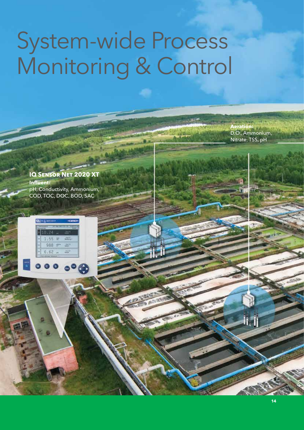### System-wide Process Monitoring & Control

**Aeration:** D.O., Ammonium, Nitrate, TSS, pH

li 1

#### **IQ Sensor Net 2020 XT Influent:**  pH, Conductivity, Ammonium, COD, TOC, DOC, BOD, SAC

1,843

 $000000$ 

 $1.55$ 988

 $6.62 -$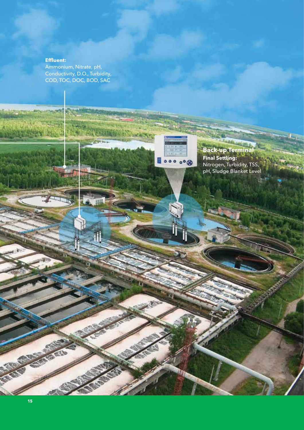#### **Effluent:**

Ammonium, Nitrate, pH, Conductivity, D.O., Turbidity, COD, TOC, DOC, BOD, SAC

> **Back-up Terminal Final Settling:** Nitrogen, Turbidity, TSS, pH, Sludge Blanket Level

.....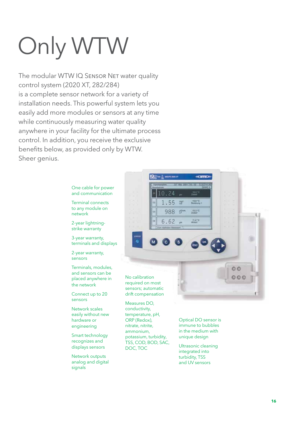# Only WTW

The modular WTW IQ SENSOR NET water quality control system (2020 XT, 282/284) is a complete sensor network for a variety of installation needs. This powerful system lets you easily add more modules or sensors at any time while continuously measuring water quality anywhere in your facility for the ultimate process control. In addition, you receive the exclusive benefits below, as provided only by WTW. Sheer genius.

> One cable for power and communication

Terminal connects to any module on network

2-year lightningstrike warranty

3-year warranty, terminals and displays

2-year warranty, sensors

Terminals, modules, and sensors can be placed anywhere in the network

Connect up to 20 sensors

Network scales easily without new hardware or engineering

conductivity, temperature, pH, ORP (Redox), nitrate, nitrite, ammonium,

DOC, TOC

Smart technology recognizes and displays sensors

Network outputs analog and digital signals



potassium, turbidity, TSS, COD, BOD, SAC, Optical DO sensor is immune to bubbles in the medium with unique design

Ultrasonic cleaning integrated into turbidity, TSS and UV sensors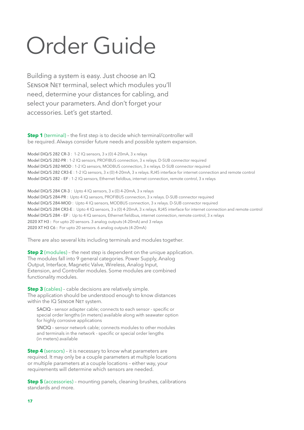## Order Guide

Building a system is easy. Just choose an IQ SENSOR NET terminal, select which modules you'll need, determine your distances for cabling, and select your parameters. And don't forget your accessories. Let's get started.

**Step 1** (terminal) - the first step is to decide which terminal/controller will be required. Always consider future needs and possible system expansion.

Model DIQ/S 282 CR-3 : 1-2 IQ sensors, 3 x (0) 4-20mA, 3 x relays Model DIQ/S 282-PR : 1-2 IQ sensors, PROFIBUS connection, 3 x relays. D-SUB connector required Model DIQ/S 282-MOD : 1-2 IQ sensors, MODBUS connection, 3 x relays. D-SUB connector required Model DIQ/S 282 CR3-E : 1-2 IQ sensors, 3 x (0) 4-20mA, 3 x relays. RJ45 interface for internet connection and remote control Model DIQ/S 282 – EF : 1-2 IQ sensors, Ethernet fieldbus, internet connection, remote control, 3 x relays

Model DIQ/S 284 CR-3 : Upto 4 IQ sensors, 3 x (0) 4-20mA, 3 x relays Model DIQ/S 284-PR : Upto 4 IQ sensors, PROFIBUS connection, 3 x relays. D-SUB connector required Model DIQ/S 284-MOD : Upto 4 IQ sensors, MODBUS connection, 3 x relays. D-SUB connector required Model DIQ/S 284 CR3-E : Upto 4 IQ sensors, 3 x (0) 4-20mA, 3 x relays. RJ45 interface for internet connection and remote control Model DIQ/S 284 – EF : Up to 4 IQ sensors, Ethernet fieldbus, internet connection, remote control, 3 x relays 2020 XT H3 : For upto 20 sensors. 3 analog outputs (4-20mA) and 3 relays 2020 XT H3 C6 : For upto 20 sensors. 6 analog outputs (4-20mA)

There are also several kits including terminals and modules together.

**Step 2** (modules) - the next step is dependent on the unique application. The modules fall into 9 general categories. Power Supply, Analog Output, Interface, Magnetic Valve, Wireless, Analog Input, Extension, and Controller modules. Some modules are combined functionality modules.

**Step 3** (cables) - cable decisions are relatively simple. The application should be understood enough to know distances within the IQ SENSOR NET system.

SACIQ – sensor adapter cable; connects to each sensor - specific or special order lengths (in meters) available along with seawater option for highly corrosive applications

SNCIQ – sensor network cable; connects modules to other modules and terminals in the network - specific or special order lengths (in meters) available

**Step 4** (sensors) – it is necessary to know what parameters are required. It may only be a couple parameters at multiple locations or multiple parameters at a couple locations – either way, your requirements will determine which sensors are needed.

**Step 5** (accessories) - mounting panels, cleaning brushes, calibrations standards and more.